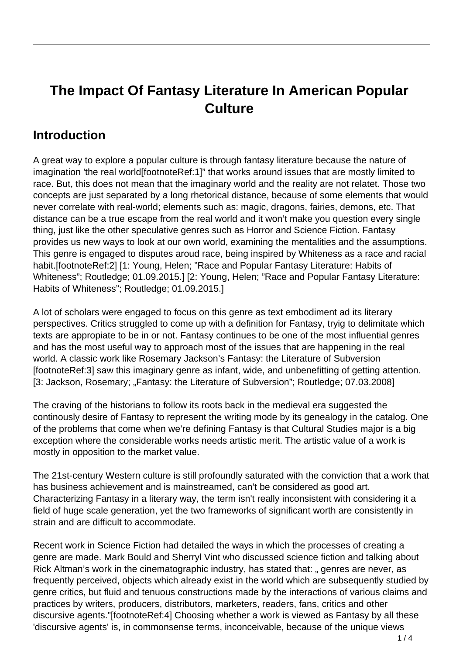# **The Impact Of Fantasy Literature In American Popular Culture**

#### **Introduction**

A great way to explore a popular culture is through fantasy literature because the nature of imagination 'the real world[footnoteRef:1]" that works around issues that are mostly limited to race. But, this does not mean that the imaginary world and the reality are not relatet. Those two concepts are just separated by a long rhetorical distance, because of some elements that would never correlate with real-world; elements such as: magic, dragons, fairies, demons, etc. That distance can be a true escape from the real world and it won't make you question every single thing, just like the other speculative genres such as Horror and Science Fiction. Fantasy provides us new ways to look at our own world, examining the mentalities and the assumptions. This genre is engaged to disputes aroud race, being inspired by Whiteness as a race and racial habit.[footnoteRef:2] [1: Young, Helen; "Race and Popular Fantasy Literature: Habits of Whiteness"; Routledge; 01.09.2015.] [2: Young, Helen; "Race and Popular Fantasy Literature: Habits of Whiteness"; Routledge; 01.09.2015.]

A lot of scholars were engaged to focus on this genre as text embodiment ad its literary perspectives. Critics struggled to come up with a definition for Fantasy, tryig to delimitate which texts are appropiate to be in or not. Fantasy continues to be one of the most influential genres and has the most useful way to approach most of the issues that are happening in the real world. A classic work like Rosemary Jackson's Fantasy: the Literature of Subversion [footnoteRef:3] saw this imaginary genre as infant, wide, and unbenefitting of getting attention. [3: Jackson, Rosemary; "Fantasy: the Literature of Subversion"; Routledge; 07.03.2008]

The craving of the historians to follow its roots back in the medieval era suggested the continously desire of Fantasy to represent the writing mode by its genealogy in the catalog. One of the problems that come when we're defining Fantasy is that Cultural Studies major is a big exception where the considerable works needs artistic merit. The artistic value of a work is mostly in opposition to the market value.

The 21st-century Western culture is still profoundly saturated with the conviction that a work that has business achievement and is mainstreamed, can't be considered as good art. Characterizing Fantasy in a literary way, the term isn't really inconsistent with considering it a field of huge scale generation, yet the two frameworks of significant worth are consistently in strain and are difficult to accommodate.

Recent work in Science Fiction had detailed the ways in which the processes of creating a genre are made. Mark Bould and Sherryl Vint who discussed science fiction and talking about Rick Altman's work in the cinematographic industry, has stated that: " genres are never, as frequently perceived, objects which already exist in the world which are subsequently studied by genre critics, but fluid and tenuous constructions made by the interactions of various claims and practices by writers, producers, distributors, marketers, readers, fans, critics and other discursive agents."[footnoteRef:4] Choosing whether a work is viewed as Fantasy by all these 'discursive agents' is, in commonsense terms, inconceivable, because of the unique views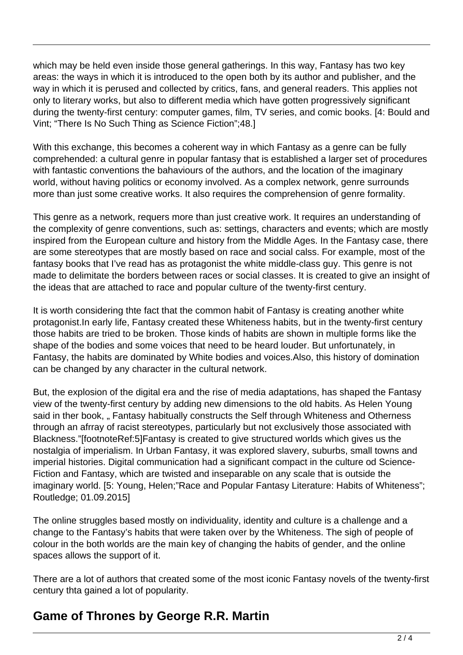which may be held even inside those general gatherings. In this way, Fantasy has two key areas: the ways in which it is introduced to the open both by its author and publisher, and the way in which it is perused and collected by critics, fans, and general readers. This applies not only to literary works, but also to different media which have gotten progressively significant during the twenty-first century: computer games, film, TV series, and comic books. [4: Bould and Vint; "There Is No Such Thing as Science Fiction";48.]

With this exchange, this becomes a coherent way in which Fantasy as a genre can be fully comprehended: a cultural genre in popular fantasy that is established a larger set of procedures with fantastic conventions the bahaviours of the authors, and the location of the imaginary world, without having politics or economy involved. As a complex network, genre surrounds more than just some creative works. It also requires the comprehension of genre formality.

This genre as a network, requers more than just creative work. It requires an understanding of the complexity of genre conventions, such as: settings, characters and events; which are mostly inspired from the European culture and history from the Middle Ages. In the Fantasy case, there are some stereotypes that are mostly based on race and social calss. For example, most of the fantasy books that I've read has as protagonist the white middle-class guy. This genre is not made to delimitate the borders between races or social classes. It is created to give an insight of the ideas that are attached to race and popular culture of the twenty-first century.

It is worth considering thte fact that the common habit of Fantasy is creating another white protagonist.In early life, Fantasy created these Whiteness habits, but in the twenty-first century those habits are tried to be broken. Those kinds of habits are shown in multiple forms like the shape of the bodies and some voices that need to be heard louder. But unfortunately, in Fantasy, the habits are dominated by White bodies and voices.Also, this history of domination can be changed by any character in the cultural network.

But, the explosion of the digital era and the rise of media adaptations, has shaped the Fantasy view of the twenty-first century by adding new dimensions to the old habits. As Helen Young said in ther book, " Fantasy habitually constructs the Self through Whiteness and Otherness through an afrray of racist stereotypes, particularly but not exclusively those associated with Blackness."[footnoteRef:5]Fantasy is created to give structured worlds which gives us the nostalgia of imperialism. In Urban Fantasy, it was explored slavery, suburbs, small towns and imperial histories. Digital communication had a significant compact in the culture od Science-Fiction and Fantasy, which are twisted and inseparable on any scale that is outside the imaginary world. [5: Young, Helen;"Race and Popular Fantasy Literature: Habits of Whiteness"; Routledge; 01.09.2015]

The online struggles based mostly on individuality, identity and culture is a challenge and a change to the Fantasy's habits that were taken over by the Whiteness. The sigh of people of colour in the both worlds are the main key of changing the habits of gender, and the online spaces allows the support of it.

There are a lot of authors that created some of the most iconic Fantasy novels of the twenty-first century thta gained a lot of popularity.

### **Game of Thrones by George R.R. Martin**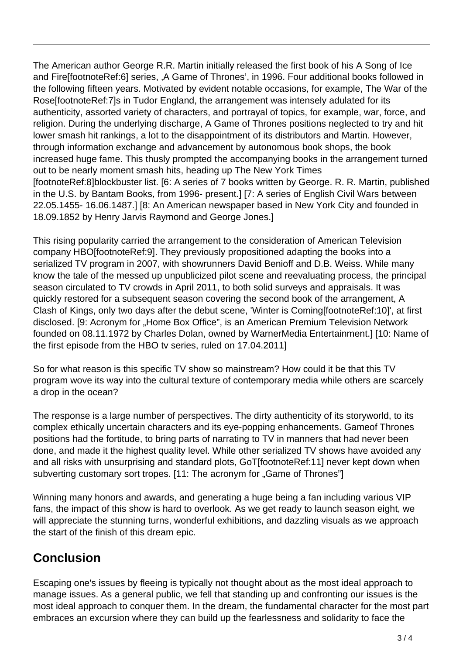The American author George R.R. Martin initially released the first book of his A Song of Ice and Fire[footnoteRef:6] series, ,A Game of Thrones', in 1996. Four additional books followed in the following fifteen years. Motivated by evident notable occasions, for example, The War of the Rose[footnoteRef:7]s in Tudor England, the arrangement was intensely adulated for its authenticity, assorted variety of characters, and portrayal of topics, for example, war, force, and religion. During the underlying discharge, A Game of Thrones positions neglected to try and hit lower smash hit rankings, a lot to the disappointment of its distributors and Martin. However, through information exchange and advancement by autonomous book shops, the book increased huge fame. This thusly prompted the accompanying books in the arrangement turned out to be nearly moment smash hits, heading up The New York Times [footnoteRef:8]blockbuster list. [6: A series of 7 books written by George. R. R. Martin, published in the U.S. by Bantam Books, from 1996- present.] [7: A series of English Civil Wars between 22.05.1455- 16.06.1487.] [8: An American newspaper based in New York City and founded in 18.09.1852 by Henry Jarvis Raymond and George Jones.]

This rising popularity carried the arrangement to the consideration of American Television company HBO[footnoteRef:9]. They previously propositioned adapting the books into a serialized TV program in 2007, with showrunners David Benioff and D.B. Weiss. While many know the tale of the messed up unpublicized pilot scene and reevaluating process, the principal season circulated to TV crowds in April 2011, to both solid surveys and appraisals. It was quickly restored for a subsequent season covering the second book of the arrangement, A Clash of Kings, only two days after the debut scene, 'Winter is Coming[footnoteRef:10]', at first disclosed. [9: Acronym for "Home Box Office", is an American Premium Television Network founded on 08.11.1972 by Charles Dolan, owned by WarnerMedia Entertainment.] [10: Name of the first episode from the HBO tv series, ruled on 17.04.2011]

So for what reason is this specific TV show so mainstream? How could it be that this TV program wove its way into the cultural texture of contemporary media while others are scarcely a drop in the ocean?

The response is a large number of perspectives. The dirty authenticity of its storyworld, to its complex ethically uncertain characters and its eye-popping enhancements. Gameof Thrones positions had the fortitude, to bring parts of narrating to TV in manners that had never been done, and made it the highest quality level. While other serialized TV shows have avoided any and all risks with unsurprising and standard plots, GoT[footnoteRef:11] never kept down when subverting customary sort tropes. [11: The acronym for "Game of Thrones"]

Winning many honors and awards, and generating a huge being a fan including various VIP fans, the impact of this show is hard to overlook. As we get ready to launch season eight, we will appreciate the stunning turns, wonderful exhibitions, and dazzling visuals as we approach the start of the finish of this dream epic.

## **Conclusion**

Escaping one's issues by fleeing is typically not thought about as the most ideal approach to manage issues. As a general public, we fell that standing up and confronting our issues is the most ideal approach to conquer them. In the dream, the fundamental character for the most part embraces an excursion where they can build up the fearlessness and solidarity to face the